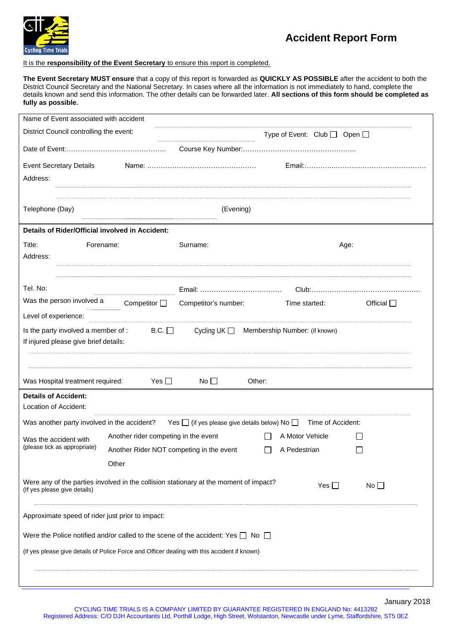

## **Accident Report Form**

## It is the **responsibility of the Event Secretary** to ensure this report is completed.

**The Event Secretary MUST ensure** that a copy of this report is forwarded as **QUICKLY AS POSSIBLE** after the accident to both the District Council Secretary and the National Secretary. In cases where all the information is not immediately to hand, complete the details known and send this information. The other details can be forwarded later. **All sections of this form should be completed as fully as possible.**

| Name of Event associated with accident                                                                                |                                      |                                                 |                                                                           |                    |
|-----------------------------------------------------------------------------------------------------------------------|--------------------------------------|-------------------------------------------------|---------------------------------------------------------------------------|--------------------|
| District Council controlling the event:                                                                               |                                      |                                                 | Type of Event: $Club$ $\Box$ Open $\Box$                                  |                    |
|                                                                                                                       |                                      |                                                 |                                                                           |                    |
| <b>Event Secretary Details</b>                                                                                        |                                      |                                                 |                                                                           |                    |
| Address:                                                                                                              |                                      |                                                 |                                                                           |                    |
| Telephone (Day)                                                                                                       |                                      | (Evening)                                       |                                                                           |                    |
| Details of Rider/Official involved in Accident:                                                                       |                                      |                                                 |                                                                           |                    |
| Title:<br>Forename:<br>Address:                                                                                       |                                      | Surname:                                        |                                                                           | Age:               |
| Tel. No:                                                                                                              |                                      |                                                 |                                                                           |                    |
| Was the person involved a                                                                                             | Competitor $\Box$                    | Competitor's number:                            | Time started:                                                             | Official $\square$ |
| Level of experience:                                                                                                  |                                      |                                                 |                                                                           |                    |
| Is the party involved a member of :<br>If injured please give brief details:                                          | B.C.                                 | Cycling UK $\Box$                               | Membership Number: (if known)                                             |                    |
| Was Hospital treatment required:                                                                                      | Yes $\Box$                           | No $\square$                                    | Other:                                                                    |                    |
| <b>Details of Accident:</b><br>Location of Accident:                                                                  |                                      |                                                 |                                                                           |                    |
| Was another party involved in the accident?                                                                           |                                      |                                                 | Yes $\Box$ (if yes please give details below) No $\Box$ Time of Accident: |                    |
| Was the accident with                                                                                                 | Another rider competing in the event |                                                 | $\perp$<br>A Motor Vehicle                                                |                    |
| (please tick as appropriate)                                                                                          |                                      | Another Rider NOT competing in the event $\Box$ | A Pedestrian                                                              | $\Box$             |
|                                                                                                                       | Other                                |                                                 |                                                                           |                    |
| Were any of the parties involved in the collision stationary at the moment of impact?<br>(If yes please give details) |                                      |                                                 | Yes $\Box$                                                                | No <sub>1</sub>    |
| Approximate speed of rider just prior to impact:                                                                      |                                      |                                                 |                                                                           |                    |
| Were the Police notified and/or called to the scene of the accident: Yes $\Box$ No $\Box$                             |                                      |                                                 |                                                                           |                    |
| (if yes please give details of Police Force and Officer dealing with this accident if known)                          |                                      |                                                 |                                                                           |                    |
|                                                                                                                       |                                      |                                                 |                                                                           |                    |
|                                                                                                                       |                                      |                                                 |                                                                           |                    |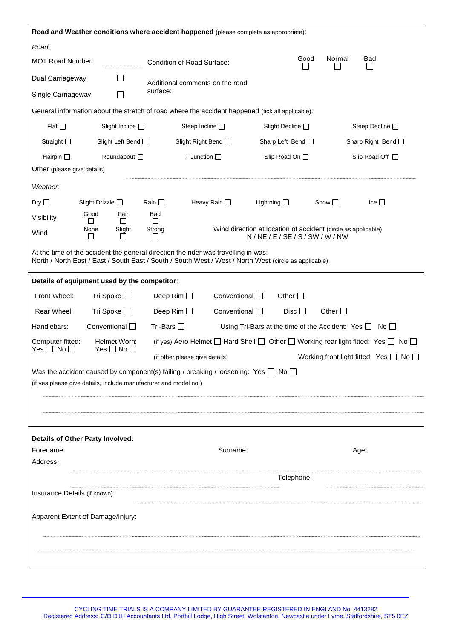|                                                                  | Road and Weather conditions where accident happened (please complete as appropriate):                                                                                                        |                                                                                      |                                                                  |
|------------------------------------------------------------------|----------------------------------------------------------------------------------------------------------------------------------------------------------------------------------------------|--------------------------------------------------------------------------------------|------------------------------------------------------------------|
| Road:                                                            |                                                                                                                                                                                              |                                                                                      |                                                                  |
| <b>MOT Road Number:</b>                                          | Condition of Road Surface:                                                                                                                                                                   | Good<br>ΙI                                                                           | Normal<br>Bad                                                    |
| Dual Carriageway<br>$\mathsf{L}$                                 | Additional comments on the road                                                                                                                                                              |                                                                                      |                                                                  |
| Single Carriageway<br>П                                          | surface:                                                                                                                                                                                     |                                                                                      |                                                                  |
|                                                                  | General information about the stretch of road where the accident happened (tick all applicable):                                                                                             |                                                                                      |                                                                  |
| Flat $\square$<br>Slight Incline $\square$                       | Steep Incline $\square$                                                                                                                                                                      | Slight Decline □                                                                     | Steep Decline $\square$                                          |
| Straight $\square$<br>Slight Left Bend □                         | Slight Right Bend □                                                                                                                                                                          | Sharp Left Bend $\Box$                                                               | Sharp Right Bend O                                               |
| Hairpin $\square$<br>Roundabout O                                | T Junction $\Box$                                                                                                                                                                            | Slip Road On $\square$                                                               | Slip Road Off $\Box$                                             |
| Other (please give details)                                      |                                                                                                                                                                                              |                                                                                      |                                                                  |
| Weather:                                                         |                                                                                                                                                                                              |                                                                                      |                                                                  |
| Dry $\square$<br>Slight Drizzle $\square$                        | Rain $\square$<br>Heavy Rain □                                                                                                                                                               | Lightning $\Box$                                                                     | Snow $\square$<br>Ice $\square$                                  |
| Fair<br>Good<br>Visibility<br>$\perp$<br>$\perp$                 | Bad<br>$\mathbf{1}$                                                                                                                                                                          |                                                                                      |                                                                  |
| None<br>Slight<br>Wind<br>П<br>$\mathsf{L}$                      | Strong<br>ΙI                                                                                                                                                                                 | Wind direction at location of accident (circle as applicable)<br>N/NE/E/SE/S/SW/W/NW |                                                                  |
|                                                                  | At the time of the accident the general direction the rider was travelling in was:<br>North / North East / East / South East / South / South West / West / North West (circle as applicable) |                                                                                      |                                                                  |
| Details of equipment used by the competitor:                     |                                                                                                                                                                                              |                                                                                      |                                                                  |
| Front Wheel:<br>Tri Spoke $\square$                              | Deep Rim $\square$<br>Conventional O                                                                                                                                                         | Other $\Box$                                                                         |                                                                  |
| Rear Wheel:<br>Tri Spoke $\square$                               | Deep Rim $\Box$<br>Conventional $\square$                                                                                                                                                    | $Disc \Box$                                                                          | Other $\Box$                                                     |
| Handlebars:<br>Conventional $\square$                            | Tri-Bars $\square$                                                                                                                                                                           |                                                                                      | Using Tri-Bars at the time of the Accident: Yes $\Box$ No $\Box$ |
| Computer fitted:<br>Helmet Worn:                                 | (if yes) Aero Helmet $\Box$ Hard Shell $\Box$ Other $\Box$ Working rear light fitted: Yes $\Box$ No $\Box$                                                                                   |                                                                                      |                                                                  |
| Yes $\Box$ No $\Box$<br>Yes $\Box$ No $\Box$                     | (if other please give details)                                                                                                                                                               |                                                                                      | Working front light fitted: Yes $\Box$ No $\Box$                 |
|                                                                  | Was the accident caused by component(s) failing / breaking / loosening: Yes $\Box$ No $\Box$                                                                                                 |                                                                                      |                                                                  |
| (if yes please give details, include manufacturer and model no.) |                                                                                                                                                                                              |                                                                                      |                                                                  |
|                                                                  |                                                                                                                                                                                              |                                                                                      |                                                                  |
|                                                                  |                                                                                                                                                                                              |                                                                                      |                                                                  |
| Details of Other Party Involved:                                 |                                                                                                                                                                                              |                                                                                      |                                                                  |
| Forename:                                                        | Surname:                                                                                                                                                                                     |                                                                                      | Age:                                                             |
| Address:                                                         |                                                                                                                                                                                              |                                                                                      |                                                                  |
|                                                                  |                                                                                                                                                                                              | Telephone:                                                                           |                                                                  |
| Insurance Details (if known):                                    |                                                                                                                                                                                              |                                                                                      |                                                                  |
| Apparent Extent of Damage/Injury:                                |                                                                                                                                                                                              |                                                                                      |                                                                  |
|                                                                  |                                                                                                                                                                                              |                                                                                      |                                                                  |
|                                                                  |                                                                                                                                                                                              |                                                                                      |                                                                  |
|                                                                  |                                                                                                                                                                                              |                                                                                      |                                                                  |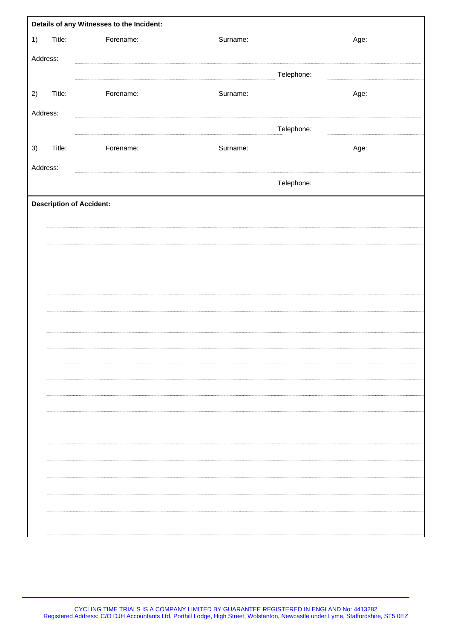|          |        | Details of any Witnesses to the Incident: |          |            |
|----------|--------|-------------------------------------------|----------|------------|
| 1)       | Title: | Forename:                                 | Surname: | Age:       |
| Address: |        |                                           |          |            |
|          |        |                                           |          | Telephone: |
| 2)       | Title: | Forename:                                 | Surname: | Age:       |
|          |        |                                           |          |            |
| Address: |        |                                           |          |            |
|          |        |                                           |          | Telephone: |
| 3)       | Title: | Forename:                                 | Surname: | Age:       |
| Address: |        |                                           |          |            |
|          |        |                                           |          | Telephone: |
|          |        | <b>Description of Accident:</b>           |          |            |
|          |        |                                           |          |            |
|          |        |                                           |          |            |
|          |        |                                           |          |            |
|          |        |                                           |          |            |
|          |        |                                           |          |            |
|          |        |                                           |          |            |
|          |        |                                           |          |            |
|          |        |                                           |          |            |
|          |        |                                           |          |            |
|          |        |                                           |          |            |
|          |        |                                           |          |            |
|          |        |                                           |          |            |
|          |        |                                           |          |            |
|          |        |                                           |          |            |
|          |        |                                           |          |            |
|          |        |                                           |          |            |
|          |        |                                           |          |            |
|          |        |                                           |          |            |
|          |        |                                           |          |            |
|          |        |                                           |          |            |
|          |        |                                           |          |            |